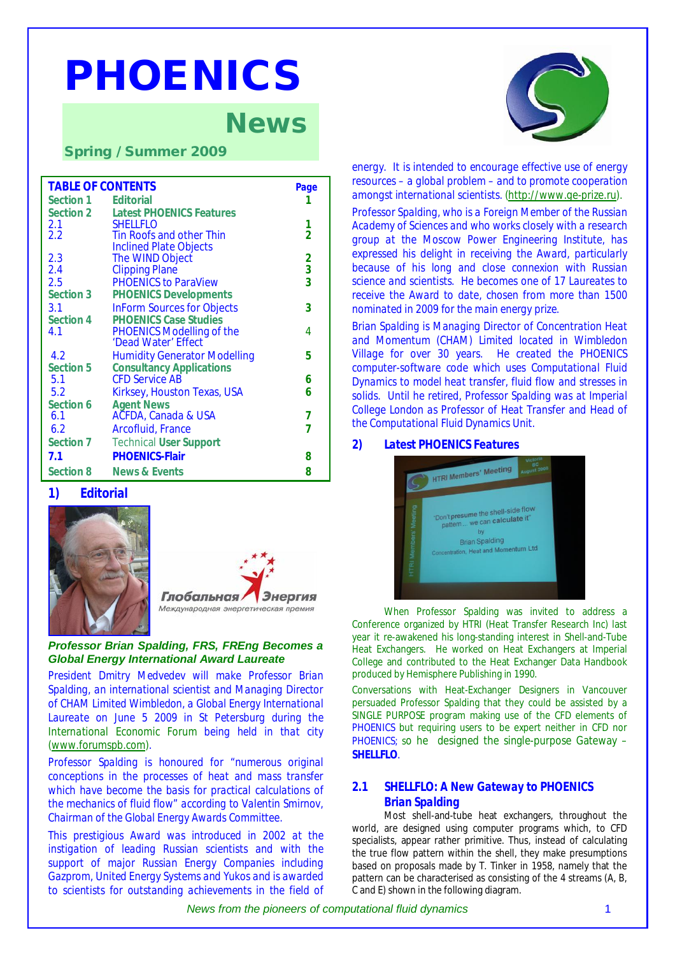# *PHOENICS*

# *News*

*Spring / Summer 2009* 

| <b>TABLE OF CONTENTS</b> |                                     |                |
|--------------------------|-------------------------------------|----------------|
| Section 1                | <b>Editorial</b>                    | 1              |
| Section 2                | <b>Latest PHOENICS Features</b>     |                |
| 2.1                      | <b>SHELLFLO</b>                     | 1              |
| 2.2                      | <b>Tin Roofs and other Thin</b>     | $\overline{2}$ |
|                          | <b>Inclined Plate Objects</b>       |                |
| 2.3                      | The WIND Object                     | $\frac{2}{3}$  |
| 2.4                      | <b>Clipping Plane</b>               |                |
| 2.5                      | <b>PHOENICS to ParaView</b>         |                |
| Section 3                | <b>PHOENICS Developments</b>        |                |
| 3.1                      | <b>InForm Sources for Objects</b>   | 3              |
| Section 4                | <b>PHOENICS Case Studies</b>        |                |
| 4.1                      | <b>PHOENICS Modelling of the</b>    | 4              |
|                          | 'Dead Water' Effect                 |                |
| 4.2                      | <b>Humidity Generator Modelling</b> | 5              |
| Section 5                | <b>Consultancy Applications</b>     |                |
| 5.1                      | <b>CFD Service AB</b>               | 6              |
| 5.2                      | Kirksey, Houston Texas, USA         | 6              |
| Section 6                | <b>Agent News</b>                   |                |
| 6.1                      | AČFDA, Canada & USA                 | 7              |
| 6.2                      | <b>Arcofluid, France</b>            | 7              |
| Section 7                | <b>Technical User Support</b>       |                |
| 7.1                      | <b>PHOENICS-Flair</b>               | 8              |
| Section 8                | <b>News &amp; Events</b>            | 8              |

#### *1) Editorial*





#### *Professor Brian Spalding, FRS, FREng Becomes a Global Energy International Award Laureate*

*President Dmitry Medvedev will make Professor Brian Spalding, an international scientist and Managing Director of CHAM Limited Wimbledon, a Global Energy International Laureate on June 5 2009 in St Petersburg during the International Economic Forum being held in that city ([www.forumspb.com](http://www.forumspb.com)).* 

*Professor Spalding is honoured for "numerous original conceptions in the processes of heat and mass transfer which have become the basis for practical calculations of the mechanics of fluid flow" according to Valentin Smirnov, Chairman of the Global Energy Awards Committee.* 

*This prestigious Award was introduced in 2002 at the instigation of leading Russian scientists and with the support of major Russian Energy Companies including Gazprom, United Energy Systems and Yukos and is awarded to scientists for outstanding achievements in the field of*



*energy. It is intended to encourage effective use of energy resources – a global problem – and to promote cooperation amongst international scientists. [\(http://www.ge-prize.ru](http://www.ge-prize.ru)).*

*Professor Spalding, who is a Foreign Member of the Russian Academy of Sciences and who works closely with a research group at the Moscow Power Engineering Institute, has expressed his delight in receiving the Award, particularly because of his long and close connexion with Russian science and scientists. He becomes one of 17 Laureates to receive the Award to date, chosen from more than 1500 nominated in 2009 for the main energy prize.* 

*Brian Spalding is Managing Director of Concentration Heat and Momentum (CHAM) Limited located in Wimbledon Village for over 30 years. He created the PHOENICS computer-software code which uses Computational Fluid Dynamics to model heat transfer, fluid flow and stresses in solids. Until he retired, Professor Spalding was at Imperial College London as Professor of Heat Transfer and Head of the Computational Fluid Dynamics Unit.* 

#### *2) Latest PHOENICS Features*



When Professor Spalding was invited to address a Conference organized by HTRI (Heat Transfer Research Inc) last year it re-awakened his long-standing interest in Shell-and-Tube Heat Exchangers. He worked on Heat Exchangers at Imperial College and contributed to the Heat Exchanger Data Handbook produced by Hemisphere Publishing in 1990.

Conversations with Heat-Exchanger Designers in Vancouver persuaded Professor Spalding that they could be assisted by a SINGLE PURPOSE program making use of the CFD elements of PHOENICS but requiring users to be expert neither in CFD nor PHOENICS; so he designed the single-purpose Gateway – **SHELLFLO**.

# *2.1 SHELLFLO: A New Gateway to PHOENICS Brian Spalding*

Most shell-and-tube heat exchangers, throughout the world, are designed using computer programs which, to CFD specialists, appear rather primitive. Thus, instead of calculating the true flow pattern within the shell, they make presumptions based on proposals made by T. Tinker in 1958, namely that the pattern can be characterised as consisting of the 4 streams (A, B, C and E) shown in the following diagram.

*News from the pioneers of computational fluid dynamics* 1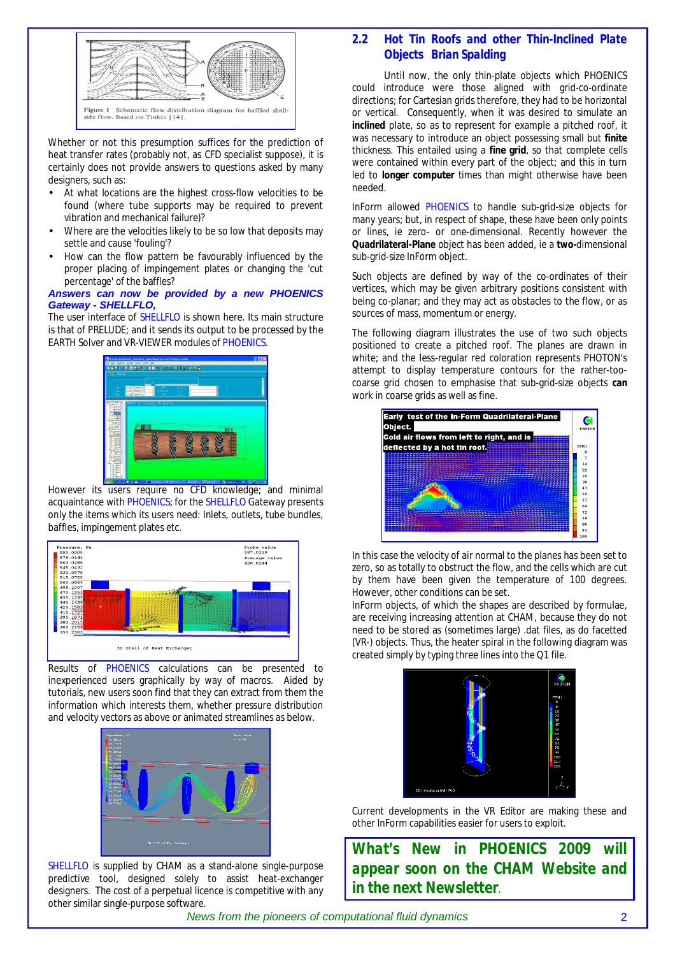

Whether or not this presumption suffices for the prediction of heat transfer rates (probably not, as CFD specialist suppose), it is certainly does not provide answers to questions asked by many designers, such as:

- At what locations are the highest cross-flow velocities to be found (where tube supports may be required to prevent vibration and mechanical failure)?
- Where are the velocities likely to be so low that deposits may settle and cause 'fouling'?
- How can the flow pattern be favourably influenced by the proper placing of impingement plates or changing the 'cut percentage' of the baffles?

#### *Answers can now be provided by a new PHOENICS Gateway - SHELLFLO,*

The user interface of SHELLFLO is shown here. Its main structure is that of PRELUDE; and it sends its output to be processed by the EARTH Solver and VR-VIEWER modules of PHOENICS.



However its users require no CFD knowledge; and minimal acquaintance with PHOENICS; for the SHELLFLO Gateway presents only the items which its users need: Inlets, outlets, tube bundles, baffles, impingement plates etc.



Results of PHOENICS calculations can be presented to inexperienced users graphically by way of macros. Aided by tutorials, new users soon find that they can extract from them the information which interests them, whether pressure distribution and velocity vectors as above or animated streamlines as below.



SHELLFLO is supplied by CHAM as a stand-alone single-purpose predictive tool, designed solely to assist heat-exchanger designers. The cost of a perpetual licence is competitive with any other similar single-purpose software.

# *2.2 Hot Tin Roofs and other Thin-Inclined Plate Objects Brian Spalding*

Until now, the only thin-plate objects which PHOENICS could introduce were those aligned with grid-co-ordinate directions; for Cartesian grids therefore, they had to be horizontal or vertical. Consequently, when it was desired to simulate an **inclined** plate, so as to represent for example a pitched roof, it was necessary to introduce an object possessing small but **finite** thickness. This entailed using a **fine grid**, so that complete cells were contained within every part of the object; and this in turn led to **longer computer** times than might otherwise have been needed.

InForm allowed PHOENICS to handle sub-grid-size objects for many years; but, in respect of shape, these have been only points or lines, *ie* zero- or one-dimensional. Recently however the **Quadrilateral-Plane** object has been added, *ie* a **two-**dimensional sub-grid-size InForm object.

Such objects are defined by way of the co-ordinates of their vertices, which may be given arbitrary positions consistent with being co-planar; and they may act as obstacles to the flow, or as sources of mass, momentum or energy.

The following diagram illustrates the use of two such objects positioned to create a pitched roof. The planes are drawn in white; and the less-regular red coloration represents PHOTON's attempt to display temperature contours for the rather-toocoarse grid chosen to emphasise that sub-grid-size objects **can**  work in coarse grids as well as fine.



In this case the velocity of air normal to the planes has been set to zero, so as totally to obstruct the flow, and the cells which are cut by them have been given the temperature of 100 degrees. However, other conditions can be set.

InForm objects, of which the shapes are described by formulae, are receiving increasing attention at CHAM, because they do not need to be stored as (sometimes large) .dat files, as do facetted (VR-) objects. Thus, the heater spiral in the following diagram was created simply by typing three lines into the Q1 file.



Current developments in the VR Editor are making these and other InForm capabilities easier for users to exploit.

*What's New in PHOENICS 2009 will appear soon on the CHAM Website and in the next Newsletter*.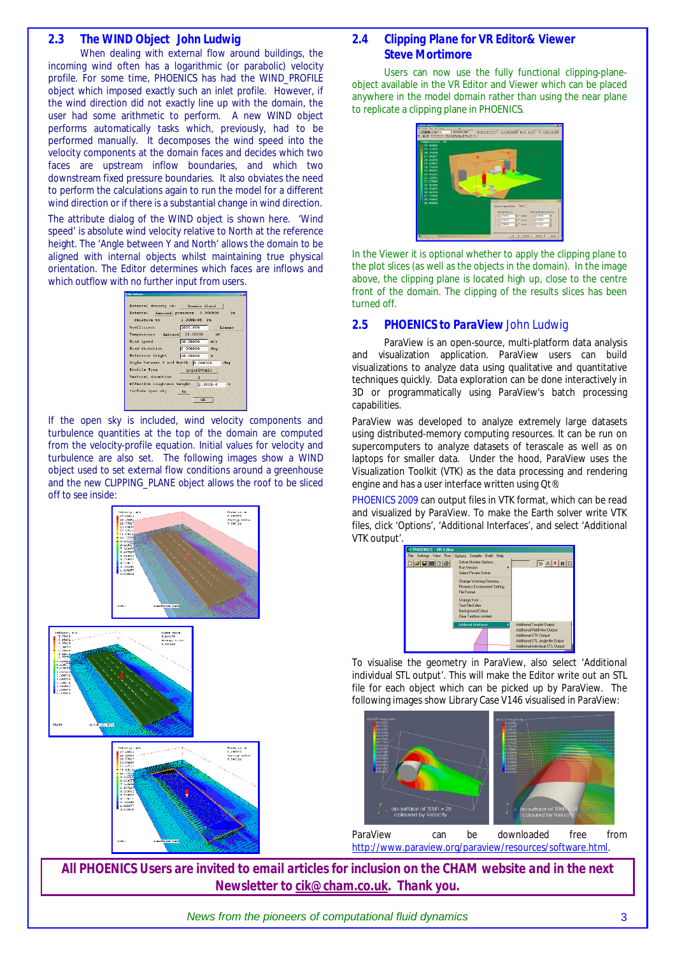# *2.3 The WIND Object John Ludwig*

When dealing with external flow around buildings, the incoming wind often has a logarithmic (or parabolic) velocity profile. For some time, PHOENICS has had the WIND\_PROFILE object which imposed exactly such an inlet profile. However, if the wind direction did not exactly line up with the domain, the user had some arithmetic to perform. A new WIND object performs automatically tasks which, previously, had to be performed manually. It decomposes the wind speed into the velocity components at the domain faces and decides which two faces are upstream inflow boundaries, and which two downstream fixed pressure boundaries. It also obviates the need to perform the calculations again to run the model for a different wind direction or if there is a substantial change in wind direction.

The attribute dialog of the WIND object is shown here. 'Wind speed' is absolute wind velocity relative to North at the reference height. The 'Angle between Y and North' allows the domain to be aligned with internal objects whilst maintaining true physical orientation. The Editor determines which faces are inflows and which outflow with no further input from users.

| <b>Whit Amthuned</b>               |              |              |        | <b>BIZ</b> |
|------------------------------------|--------------|--------------|--------|------------|
| External density is: Domain fluid  |              |              |        |            |
| External Ambient pressure 0.000000 |              |              | Pa.    |            |
| relative to                        | 1.300E+05 Pa |              |        |            |
| Coefficient                        | 1000.000     |              | Linear |            |
| Temperature Ambient 20.00000       |              | $\circ$ C    |        |            |
| Wind speed                         | 10.00000     | m/s          |        |            |
| Wind direction                     | 0.000000     | deg          |        |            |
| Reference height                   | 10.00000     | m            |        |            |
| Angle between Y and North 0.000000 |              |              | deg    |            |
| Profile Type                       | Logarithmic  |              |        |            |
| Vertical direction                 | z            |              |        |            |
| Effective roughness height         |              | $2.000E - 4$ | n      |            |
| Include open sky                   | $n_{\alpha}$ |              |        |            |
|                                    | <b>OK</b>    |              |        |            |
|                                    |              |              |        |            |

If the open sky is included, wind velocity components and turbulence quantities at the top of the domain are computed from the velocity-profile equation. Initial values for velocity and turbulence are also set. The following images show a WIND object used to set external flow conditions around a greenhouse and the new CLIPPING\_PLANE object allows the roof to be sliced off to see inside:



# *2.4 Clipping Plane for VR Editor& Viewer Steve Mortimore*

Users can now use the fully functional clipping-planeobject available in the VR Editor and Viewer which can be placed anywhere in the model domain rather than using the near plane to replicate a clipping plane in PHOENICS.

| Temperature, sC<br>29.99860<br>29.12659<br>28.25458<br>27.38257<br>26.51056<br>25.63855<br>24.76654<br>23.89453<br>23.02251<br>22.15051<br>21.27849<br>20.40648<br>19.53447<br><b>18.66246</b><br>17.79045<br>16.91844<br>16.04643 | $= 18$ $ 0 $ $ 0 $ $ 0 $ $ 0 $ $ 1 $ $ 0 $ $ 0 $ $ 0 $ $ 0 $ $ 0 $ $ 0 $ | 251                                                                                                                                                                                                                                                       |
|------------------------------------------------------------------------------------------------------------------------------------------------------------------------------------------------------------------------------------|--------------------------------------------------------------------------|-----------------------------------------------------------------------------------------------------------------------------------------------------------------------------------------------------------------------------------------------------------|
|                                                                                                                                                                                                                                    |                                                                          | General Option   Save   Piece  <br>Portverge about ext. deg<br><b>Ibyert perform</b><br>$\times$ Telesco<br>$\times$ Trowww<br><b>GET MANY</b><br>9.11698<br>$v$ Tensore<br>$56$ $\Gamma$ at and $\Gamma$<br>2.1976976<br><b>All IT</b> stand<br>2.500000 |

In the Viewer it is optional whether to apply the clipping plane to the plot slices (as well as the objects in the domain). In the image above, the clipping plane is located high up, close to the centre front of the domain. The clipping of the results slices has been turned off.

## *2.5 PHOENICS to ParaView John Ludwig*

ParaView is an open-source, multi-platform data analysis and visualization application. ParaView users can build visualizations to analyze data using qualitative and quantitative techniques quickly. Data exploration can be done interactively in 3D or programmatically using ParaView's batch processing capabilities.

ParaView was developed to analyze extremely large datasets using distributed-memory computing resources. It can be run on supercomputers to analyze datasets of terascale as well as on laptops for smaller data. Under the hood, ParaView uses the Visualization Toolkit (VTK) as the data processing and rendering engine and has a user interface written using Qt®.

PHOENICS 2009 can output files in VTK format, which can be read and visualized by ParaView. To make the Earth solver write VTK files, click 'Options', 'Additional Interfaces', and select 'Additional VTK output'.

| <b>PHOENICS - VR Editor</b> |                                                                                      |                                                                                                                                                            |
|-----------------------------|--------------------------------------------------------------------------------------|------------------------------------------------------------------------------------------------------------------------------------------------------------|
| File Settings View Run      | Options Compile Build Help                                                           |                                                                                                                                                            |
| D <b>G E E</b> B 6          | Solver Monitor Options<br><b>Bun Version</b><br>ь<br>Select Private Solver           | PA ■ □                                                                                                                                                     |
|                             | Change Working Directory<br>Phoenics Environment Setting<br><b>File Format</b>       |                                                                                                                                                            |
|                             | Change Font<br>Text File Editor<br><b>Background Colour</b><br>Clear Testhos content |                                                                                                                                                            |
|                             | Addional Interfaces                                                                  | Additional Tecplot Output<br>Additional FieldView Output<br>Additional VTK Output<br>Additional STL single-file Dutput<br>Additional individual STL Dutput |

To visualise the geometry in ParaView, also select 'Additional individual STL output'. This will make the Editor write out an STL file for each object which can be picked up by ParaView. The following images show Library Case V146 visualised in ParaView:



*All PHOENICS Users are invited to email articles for inclusion on the CHAM website and in the next Newsletter to [cik@cham.co.uk.](mailto:cik@cham.co.uk) Thank you.* 

*News from the pioneers of computational fluid dynamics* 3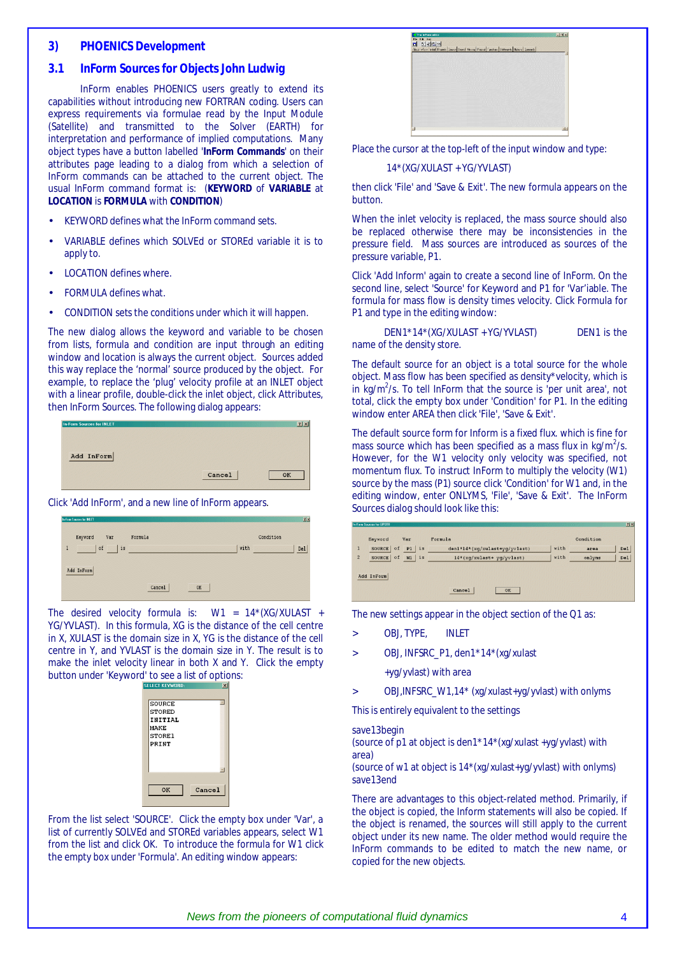#### *3) PHOENICS Development*

# *3.1 InForm Sources for Objects John Ludwig*

InForm enables PHOENICS users greatly to extend its capabilities without introducing new FORTRAN coding. Users can express requirements via formulae read by the Input Module (Satellite) and transmitted to the Solver (EARTH) for interpretation and performance of implied computations. Many object types have a button labelled '**InForm Commands**' on their attributes page leading to a dialog from which a selection of InForm commands can be attached to the current object. The usual InForm command format is: (**KEYWORD** of **VARIABLE** at **LOCATION** is **FORMULA** with **CONDITION**)

- KEYWORD defines what the InForm command sets.
- VARIABLE defines which SOLVEd or STOREd variable it is to apply to.
- **LOCATION defines where.**
- FORMULA defines what.
- CONDITION sets the conditions under which it will happen.

The new dialog allows the keyword and variable to be chosen from lists, formula and condition are input through an editing window and location is always the current object. Sources added this way replace the 'normal' source produced by the object. For example, to replace the 'plug' velocity profile at an INLET object with a linear profile, double-click the inlet object, click Attributes, then InForm Sources. The following dialog appears:

| <b>In-Form Sources for INLET</b> |        | 2x |
|----------------------------------|--------|----|
| Add InForm                       |        |    |
|                                  | Cancel | OK |

Click 'Add InForm', and a new line of InForm appears.

| In-Form Sources for INLET |              | 2x          |
|---------------------------|--------------|-------------|
| Keyword<br>Var            | Formula      | Condition   |
| is<br>of<br>$\mathbf{1}$  |              | with<br>Del |
| Add InForm                |              |             |
|                           | Cancel<br>OK |             |

The desired velocity formula is: W1 = 14\*(XG/XULAST + YG/YVLAST). In this formula, XG is the distance of the cell centre in X, XULAST is the domain size in X, YG is the distance of the cell centre in Y, and YVLAST is the domain size in Y. The result is to make the inlet velocity linear in both X and Y. Click the empty button under 'Keyword' to see a list of options:

| <b>STORED</b><br>INITIAL |  |
|--------------------------|--|
| MAKE<br>STORE1           |  |
| PRINT                    |  |
|                          |  |
|                          |  |

From the list select 'SOURCE'. Click the empty box under 'Var', a list of currently SOLVEd and STOREd variables appears, select W1 from the list and click OK. To introduce the formula for W1 click the empty box under 'Formula'. An editing window appears:



Place the cursor at the top-left of the input window and type:

#### 14\*(XG/XULAST + YG/YVLAST)

then click 'File' and 'Save & Exit'. The new formula appears on the button.

When the inlet velocity is replaced, the mass source should also be replaced otherwise there may be inconsistencies in the pressure field. Mass sources are introduced as sources of the pressure variable, P1.

Click 'Add Inform' again to create a second line of InForm. On the second line, select 'Source' for Keyword and P1 for 'Var'iable. The formula for mass flow is density times velocity. Click Formula for P1 and type in the editing window:

| DEN1*14*(XG/XULAST + YG/YVLAST) | DEN <sub>1</sub> is the |
|---------------------------------|-------------------------|
| name of the density store.      |                         |

The default source for an object is a total source for the whole object. Mass flow has been specified as density\*velocity, which is in kg/ $m^2/s$ . To tell InForm that the source is 'per unit area', not total, click the empty box under 'Condition' for P1. In the editing window enter AREA then click 'File', 'Save & Exit'.

The default source form for Inform is a fixed flux. which is fine for mass source which has been specified as a mass flux in  $kg/m^2/s$ . However, for the W1 velocity only velocity was specified, not momentum flux. To instruct InForm to multiply the velocity (W1) source by the mass (P1) source click 'Condition' for W1 and, in the editing window, enter ONLYMS, 'File', 'Save & Exit'. The InForm Sources dialog should look like this:

|                | In-Forn Sources for UPSTR |                     |                               |      |           | им              |
|----------------|---------------------------|---------------------|-------------------------------|------|-----------|-----------------|
|                | Keyword                   | Var                 | Formula                       |      | Condition |                 |
|                | of<br>SOURCE              | P1<br>$\vert$ is    | den1*14*(xg/xulast+yg/yvlast) | with | area      | De <sub>1</sub> |
| $\overline{2}$ | of<br>SOURCE              | W1<br>$\frac{1}{2}$ | 14*(xg/xulast+ yg/yvlast)     | with | onlyms    | De <sub>1</sub> |
|                | Add InForm                |                     |                               |      |           |                 |
|                |                           |                     | Cancel<br>OK                  |      |           |                 |

The new settings appear in the object section of the Q1 as:

- > OBJ, TYPE, INLET
- > OBJ, INFSRC\_P1, den1\*14\*(xg/xulast
	- +yg/yvlast) with area
- > OBJ,INFSRC\_W1,14\* (xg/xulast+yg/yvlast) with onlyms

This is entirely equivalent to the settings

#### save13begin

(source of p1 at object is den1\*14\*(xg/xulast +yg/yvlast) with area)

(source of w1 at object is 14\*(xg/xulast+yg/yvlast) with onlyms) save13end

There are advantages to this object-related method. Primarily, if the object is copied, the Inform statements will also be copied. If the object is renamed, the sources will still apply to the current object under its new name. The older method would require the InForm commands to be edited to match the new name, or copied for the new objects.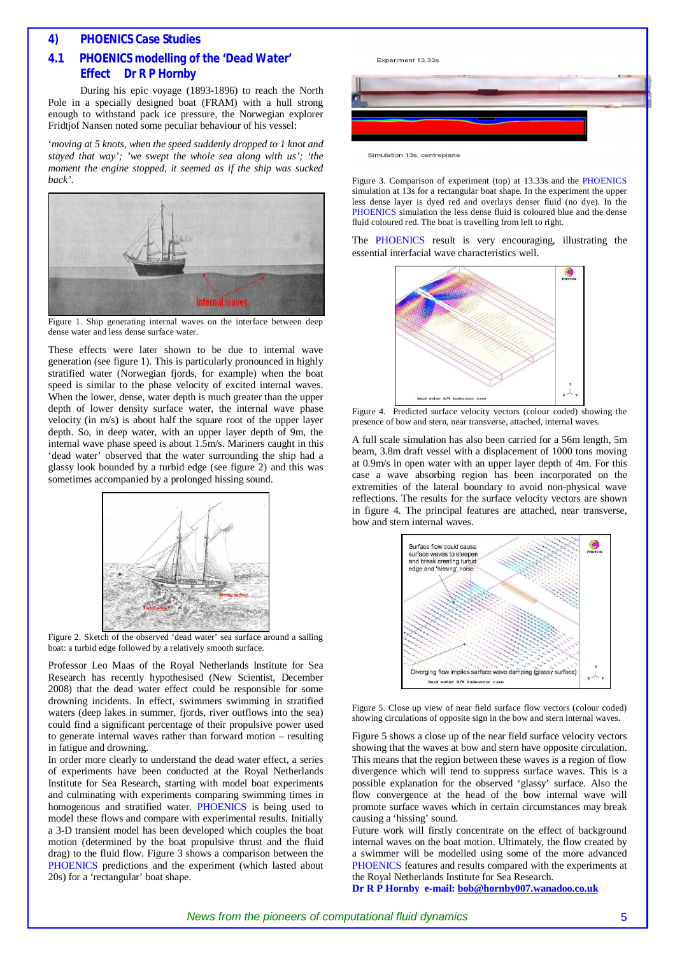# *4) PHOENICS Case Studies*

# *4.1 PHOENICS modelling of the 'Dead Water' Effect**Dr R P Hornby*

During his epic voyage (1893-1896) to reach the North Pole in a specially designed boat (FRAM) with a hull strong enough to withstand pack ice pressure, the Norwegian explorer Fridtjof Nansen noted some peculiar behaviour of his vessel:

'*moving at 5 knots, when the speed suddenly dropped to 1 knot and stayed that way'; 'we swept the whole sea along with us'; 'the moment the engine stopped, it seemed as if the ship was sucked back'*.



Figure 1. Ship generating internal waves on the interface between deep dense water and less dense surface water.

These effects were later shown to be due to internal wave generation (see figure 1). This is particularly pronounced in highly stratified water (Norwegian fjords, for example) when the boat speed is similar to the phase velocity of excited internal waves. When the lower, dense, water depth is much greater than the upper depth of lower density surface water, the internal wave phase velocity (in m/s) is about half the square root of the upper layer depth. So, in deep water, with an upper layer depth of 9m, the internal wave phase speed is about 1.5m/s. Mariners caught in this 'dead water' observed that the water surrounding the ship had a glassy look bounded by a turbid edge (see figure 2) and this was sometimes accompanied by a prolonged hissing sound.



Figure 2. Sketch of the observed 'dead water' sea surface around a sailing boat: a turbid edge followed by a relatively smooth surface.

Professor Leo Maas of the Royal Netherlands Institute for Sea Research has recently hypothesised (New Scientist, December 2008) that the dead water effect could be responsible for some drowning incidents. In effect, swimmers swimming in stratified waters (deep lakes in summer, fjords, river outflows into the sea) could find a significant percentage of their propulsive power used to generate internal waves rather than forward motion – resulting in fatigue and drowning.

In order more clearly to understand the dead water effect, a series of experiments have been conducted at the Royal Netherlands Institute for Sea Research, starting with model boat experiments and culminating with experiments comparing swimming times in homogenous and stratified water. PHOENICS is being used to model these flows and compare with experimental results. Initially a 3-D transient model has been developed which couples the boat motion (determined by the boat propulsive thrust and the fluid drag) to the fluid flow. Figure 3 shows a comparison between the PHOENICS predictions and the experiment (which lasted about 20s) for a 'rectangular' boat shape.



Figure 3. Comparison of experiment (top) at 13.33s and the PHOENICS simulation at 13s for a rectangular boat shape. In the experiment the upper less dense layer is dyed red and overlays denser fluid (no dye). In the PHOENICS simulation the less dense fluid is coloured blue and the dense

fluid coloured red. The boat is travelling from left to right.

The PHOENICS result is very encouraging, illustrating the essential interfacial wave characteristics well.



Figure 4. Predicted surface velocity vectors (colour coded) showing the presence of bow and stern, near transverse, attached, internal waves.

A full scale simulation has also been carried for a 56m length, 5m beam, 3.8m draft vessel with a displacement of 1000 tons moving at 0.9m/s in open water with an upper layer depth of 4m. For this case a wave absorbing region has been incorporated on the extremities of the lateral boundary to avoid non-physical wave reflections. The results for the surface velocity vectors are shown in figure 4. The principal features are attached, near transverse, bow and stern internal waves.



Figure 5. Close up view of near field surface flow vectors (colour coded) showing circulations of opposite sign in the bow and stern internal waves.

Figure 5 shows a close up of the near field surface velocity vectors showing that the waves at bow and stern have opposite circulation. This means that the region between these waves is a region of flow divergence which will tend to suppress surface waves. This is a possible explanation for the observed 'glassy' surface. Also the flow convergence at the head of the bow internal wave will promote surface waves which in certain circumstances may break causing a 'hissing' sound.

Future work will firstly concentrate on the effect of background internal waves on the boat motion. Ultimately, the flow created by a swimmer will be modelled using some of the more advanced PHOENICS features and results compared with the experiments at the Royal Netherlands Institute for Sea Research.

**Dr R P Hornby e-mail: [bob@hornby007.wanadoo.co.uk](mailto:bob@hornby007.wanadoo.co.uk)**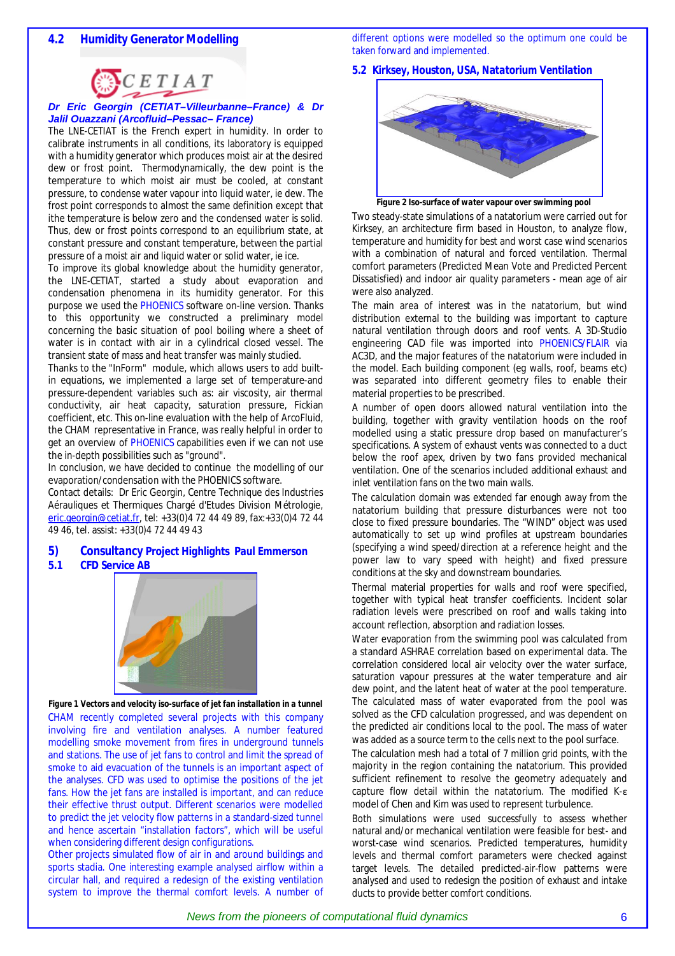different options were modelled so the optimum one could be taken forward and implemented.

*5.2 Kirksey, Houston, USA, Natatorium Ventilation* 



#### *Dr Eric Georgin (CETIAT–Villeurbanne–France) & Dr Jalil Ouazzani (Arcofluid–Pessac– France)*

The LNE-CETIAT is the French expert in humidity. In order to calibrate instruments in all conditions, its laboratory is equipped with a humidity generator which produces moist air at the desired dew or frost point. Thermodynamically, the dew point is the temperature to which moist air must be cooled, at constant pressure, to condense water vapour into liquid water, ie dew. The frost point corresponds to almost the same definition except that ithe temperature is below zero and the condensed water is solid. Thus, dew or frost points correspond to an equilibrium state, at constant pressure and constant temperature, between the partial pressure of a moist air and liquid water or solid water, ie ice.

To improve its global knowledge about the humidity generator, the LNE-CETIAT, started a study about evaporation and condensation phenomena in its humidity generator. For this purpose we used the PHOENICS software on-line version. Thanks to this opportunity we constructed a preliminary model concerning the basic situation of pool boiling where a sheet of water is in contact with air in a cylindrical closed vessel. The transient state of mass and heat transfer was mainly studied.

Thanks to the "InForm" module, which allows users to add builtin equations, we implemented a large set of temperature-and pressure-dependent variables such as: air viscosity, air thermal conductivity, air heat capacity, saturation pressure, Fickian coefficient, etc. This on-line evaluation with the help of ArcoFluid, the CHAM representative in France, was really helpful in order to get an overview of PHOENICS capabilities even if we can not use the in-depth possibilities such as "ground".

In conclusion, we have decided to continue the modelling of our evaporation/condensation with the PHOENICS software.

Contact details: Dr Eric Georgin, Centre Technique des Industries Aérauliques et Thermiques Chargé d'Etudes Division Métrologie, [eric.georgin@cetiat.fr,](mailto:eric.georgin@cetiat.fr) tel: +33(0)4 72 44 49 89, fax:+33(0)4 72 44 49 46, tel. assist: +33(0)4 72 44 49 43

# *5) Consultancy Project Highlights Paul Emmerson*

*5.1 CFD Service AB* 



*Figure 1 Vectors and velocity iso-surface of jet fan installation in a tunnel*  CHAM recently completed several projects with this company involving fire and ventilation analyses. A number featured modelling smoke movement from fires in underground tunnels and stations. The use of jet fans to control and limit the spread of smoke to aid evacuation of the tunnels is an important aspect of the analyses. CFD was used to optimise the positions of the jet fans. How the jet fans are installed is important, and can reduce their effective thrust output. Different scenarios were modelled to predict the jet velocity flow patterns in a standard-sized tunnel and hence ascertain "installation factors", which will be useful when considering different design configurations.

Other projects simulated flow of air in and around buildings and sports stadia. One interesting example analysed airflow within a circular hall, and required a redesign of the existing ventilation system to improve the thermal comfort levels. A number of



*Figure 2 Iso-surface of water vapour over swimming pool* 

Two steady-state simulations of a natatorium were carried out for Kirksey, an architecture firm based in Houston, to analyze flow, temperature and humidity for best and worst case wind scenarios with a combination of natural and forced ventilation. Thermal comfort parameters (Predicted Mean Vote and Predicted Percent Dissatisfied) and indoor air quality parameters - mean age of air were also analyzed.

The main area of interest was in the natatorium, but wind distribution external to the building was important to capture natural ventilation through doors and roof vents. A 3D-Studio engineering CAD file was imported into PHOENICS/FLAIR via AC3D, and the major features of the natatorium were included in the model. Each building component (eg walls, roof, beams etc) was separated into different geometry files to enable their material properties to be prescribed.

A number of open doors allowed natural ventilation into the building, together with gravity ventilation hoods on the roof modelled using a static pressure drop based on manufacturer's specifications. A system of exhaust vents was connected to a duct below the roof apex, driven by two fans provided mechanical ventilation. One of the scenarios included additional exhaust and inlet ventilation fans on the two main walls.

The calculation domain was extended far enough away from the natatorium building that pressure disturbances were not too close to fixed pressure boundaries. The "WIND" object was used automatically to set up wind profiles at upstream boundaries (specifying a wind speed/direction at a reference height and the power law to vary speed with height) and fixed pressure conditions at the sky and downstream boundaries.

Thermal material properties for walls and roof were specified, together with typical heat transfer coefficients. Incident solar radiation levels were prescribed on roof and walls taking into account reflection, absorption and radiation losses.

Water evaporation from the swimming pool was calculated from a standard ASHRAE correlation based on experimental data. The correlation considered local air velocity over the water surface, saturation vapour pressures at the water temperature and air dew point, and the latent heat of water at the pool temperature. The calculated mass of water evaporated from the pool was solved as the CFD calculation progressed, and was dependent on the predicted air conditions local to the pool. The mass of water was added as a source term to the cells next to the pool surface.

The calculation mesh had a total of 7 million grid points, with the majority in the region containing the natatorium. This provided sufficient refinement to resolve the geometry adequately and capture flow detail within the natatorium. The modified K-ε model of Chen and Kim was used to represent turbulence.

Both simulations were used successfully to assess whether natural and/or mechanical ventilation were feasible for best- and worst-case wind scenarios. Predicted temperatures, humidity levels and thermal comfort parameters were checked against target levels. The detailed predicted-air-flow patterns were analysed and used to redesign the position of exhaust and intake ducts to provide better comfort conditions.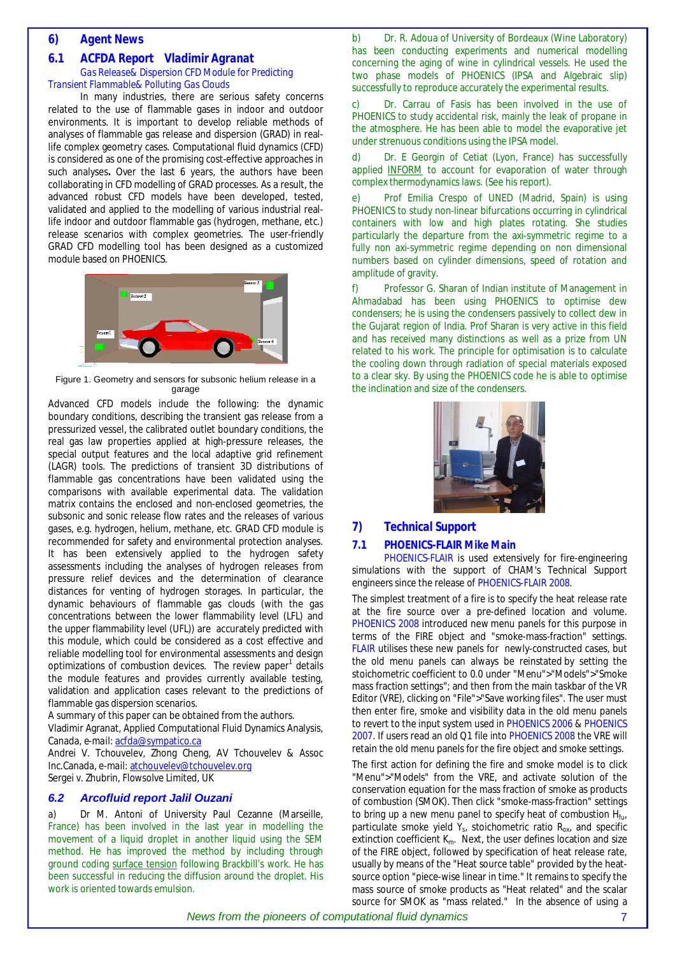#### *6) Agent News*

#### *6.1 ACFDA Report Vladimir Agranat Gas Release& Dispersion CFD Module for Predicting Transient Flammable& Polluting Gas Clouds*

In many industries, there are serious safety concerns related to the use of flammable gases in indoor and outdoor environments. It is important to develop reliable methods of analyses of flammable gas release and dispersion (GRAD) in reallife complex geometry cases. Computational fluid dynamics (CFD) is considered as one of the promising cost-effective approaches in such analyses**.** Over the last 6 years, the authors have been collaborating in CFD modelling of GRAD processes. As a result, the advanced robust CFD models have been developed, tested, validated and applied to the modelling of various industrial reallife indoor and outdoor flammable gas (hydrogen, methane, etc.) release scenarios with complex geometries. The user-friendly GRAD CFD modelling tool has been designed as a customized module based on PHOENICS.



 Figure 1. Geometry and sensors for subsonic helium release in a garage

Advanced CFD models include the following: the dynamic boundary conditions, describing the transient gas release from a pressurized vessel, the calibrated outlet boundary conditions, the real gas law properties applied at high-pressure releases, the special output features and the local adaptive grid refinement (LAGR) tools. The predictions of transient 3D distributions of flammable gas concentrations have been validated using the comparisons with available experimental data. The validation matrix contains the enclosed and non-enclosed geometries, the subsonic and sonic release flow rates and the releases of various gases, e.g. hydrogen, helium, methane, etc. GRAD CFD module is recommended for safety and environmental protection analyses. It has been extensively applied to the hydrogen safety assessments including the analyses of hydrogen releases from pressure relief devices and the determination of clearance distances for venting of hydrogen storages. In particular, the dynamic behaviours of flammable gas clouds (with the gas concentrations between the lower flammability level (LFL) and the upper flammability level (UFL)) are accurately predicted with this module, which could be considered as a cost effective and reliable modelling tool for environmental assessments and design optimizations of combustion devices. The review paper<sup>1</sup> details the module features and provides currently available testing, validation and application cases relevant to the predictions of flammable gas dispersion scenarios.

A summary of this paper can be obtained from the authors.

Vladimir Agranat, Applied Computational Fluid Dynamics Analysis, Canada, *e-mail:* [acfda@sympatico.ca](mailto:acfda@sympatico.ca)

Andrei V. Tchouvelev, Zhong Cheng, AV Tchouvelev & Assoc Inc.Canada, *e-mail:* [atchouvelev@tchouvelev.org](mailto:atchouvelev@tchouvelev.org) Sergei v. Zhubrin, Flowsolve Limited. UK

#### *6.2 Arcofluid report Jalil Ouzani*

a) Dr M. Antoni of University Paul Cezanne (Marseille, France) has been involved in the last year in modelling the movement of a liquid droplet in another liquid using the SEM method. He has improved the method by including through ground coding surface tension following Brackbill's work. He has been successful in reducing the diffusion around the droplet. His work is oriented towards emulsion.

b) Dr. R. Adoua of University of Bordeaux (Wine Laboratory) has been conducting experiments and numerical modelling concerning the aging of wine in cylindrical vessels. He used the two phase models of PHOENICS (IPSA and Algebraic slip) successfully to reproduce accurately the experimental results.

c) Dr. Carrau of Fasis has been involved in the use of PHOENICS to study accidental risk, mainly the leak of propane in the atmosphere. He has been able to model the evaporative jet under strenuous conditions using the IPSA model.

d) Dr. E Georgin of Cetiat (Lyon, France) has successfully applied INFORM to account for evaporation of water through complex thermodynamics laws. (See his report).

e) Prof Emilia Crespo of UNED (Madrid, Spain) is using PHOENICS to study non-linear bifurcations occurring in cylindrical containers with low and high plates rotating. She studies particularly the departure from the axi-symmetric regime to a fully non axi-symmetric regime depending on non dimensional numbers based on cylinder dimensions, speed of rotation and amplitude of gravity.

f) Professor G. Sharan of Indian institute of Management in Ahmadabad has been using PHOENICS to optimise dew condensers; he is using the condensers passively to collect dew in the Gujarat region of India. Prof Sharan is very active in this field and has received many distinctions as well as a prize from UN related to his work. The principle for optimisation is to calculate the cooling down through radiation of special materials exposed to a clear sky. By using the PHOENICS code he is able to optimise the inclination and size of the condensers.



#### *7) Technical Support*

#### *7.1 PHOENICS-FLAIR Mike Main*

PHOENICS-FLAIR is used extensively for fire-engineering simulations with the support of CHAM's Technical Support engineers since the release of PHOENICS-FLAIR 2008.

The simplest treatment of a fire is to specify the heat release rate at the fire source over a pre-defined location and volume. PHOENICS 2008 introduced new menu panels for this purpose in terms of the FIRE object and "smoke-mass-fraction" settings. FLAIR utilises these new panels for newly-constructed cases, but the old menu panels can always be reinstated by setting the stoichometric coefficient to 0.0 under "Menu">"Models">"Smoke mass fraction settings"; and then from the main taskbar of the VR Editor (VRE), clicking on "File">"Save working files". The user must then enter fire, smoke and visibility data in the old menu panels to revert to the input system used in PHOENICS 2006 & PHOENICS 2007. If users read an old Q1 file into PHOENICS 2008 the VRE will retain the old menu panels for the fire object and smoke settings.

The first action for defining the fire and smoke model is to click "Menu">"Models" from the VRE, and activate solution of the conservation equation for the mass fraction of smoke as products of combustion (SMOK). Then click "smoke-mass-fraction" settings to bring up a new menu panel to specify heat of combustion  $H_{\text{fuv}}$ particulate smoke yield  $Y_s$ , stoichometric ratio  $R_{ox}$ , and specific extinction coefficient  $K_m$ . Next, the user defines location and size of the FIRE object, followed by specification of heat release rate, usually by means of the "Heat source table" provided by the heatsource option "piece-wise linear in time." It remains to specify the mass source of smoke products as "Heat related" and the scalar source for SMOK as "mass related." In the absence of using a